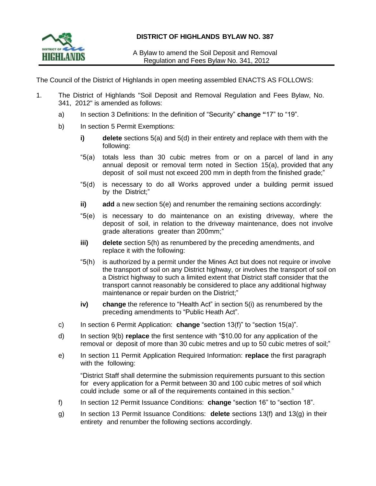

A Bylaw to amend the Soil Deposit and Removal Regulation and Fees Bylaw No. 341, 2012

The Council of the District of Highlands in open meeting assembled ENACTS AS FOLLOWS:

- 1. The District of Highlands "Soil Deposit and Removal Regulation and Fees Bylaw, No. 341, 2012" is amended as follows:
	- a) In section 3 Definitions: In the definition of "Security" **change "**17" to "19".
	- b) In section 5 Permit Exemptions:
		- **i) delete** sections 5(a) and 5(d) in their entirety and replace with them with the following:
		- "5(a) totals less than 30 cubic metres from or on a parcel of land in any annual deposit or removal term noted in Section 15(a), provided that any deposit of soil must not exceed 200 mm in depth from the finished grade;"
		- "5(d) is necessary to do all Works approved under a building permit issued by the District;"
		- **ii) add** a new section 5(e) and renumber the remaining sections accordingly:
		- "5(e) is necessary to do maintenance on an existing driveway, where the deposit of soil, in relation to the driveway maintenance, does not involve grade alterations greater than 200mm;"
		- **iii) delete** section 5(h) as renumbered by the preceding amendments, and replace it with the following:
		- "5(h) is authorized by a permit under the Mines Act but does not require or involve the transport of soil on any District highway, or involves the transport of soil on a District highway to such a limited extent that District staff consider that the transport cannot reasonably be considered to place any additional highway maintenance or repair burden on the District;"
		- **iv) change** the reference to "Health Act" in section 5(i) as renumbered by the preceding amendments to "Public Heath Act".
	- c) In section 6 Permit Application: **change** "section 13(f)" to "section 15(a)".
	- d) In section 9(b) **replace** the first sentence with "\$10.00 for any application of the removal or deposit of more than 30 cubic metres and up to 50 cubic metres of soil;"
	- e) In section 11 Permit Application Required Information: **replace** the first paragraph with the following:

"District Staff shall determine the submission requirements pursuant to this section for every application for a Permit between 30 and 100 cubic metres of soil which could include some or all of the requirements contained in this section."

- f) In section 12 Permit Issuance Conditions: **change** "section 16" to "section 18".
- g) In section 13 Permit Issuance Conditions: **delete** sections 13(f) and 13(g) in their entirety and renumber the following sections accordingly.